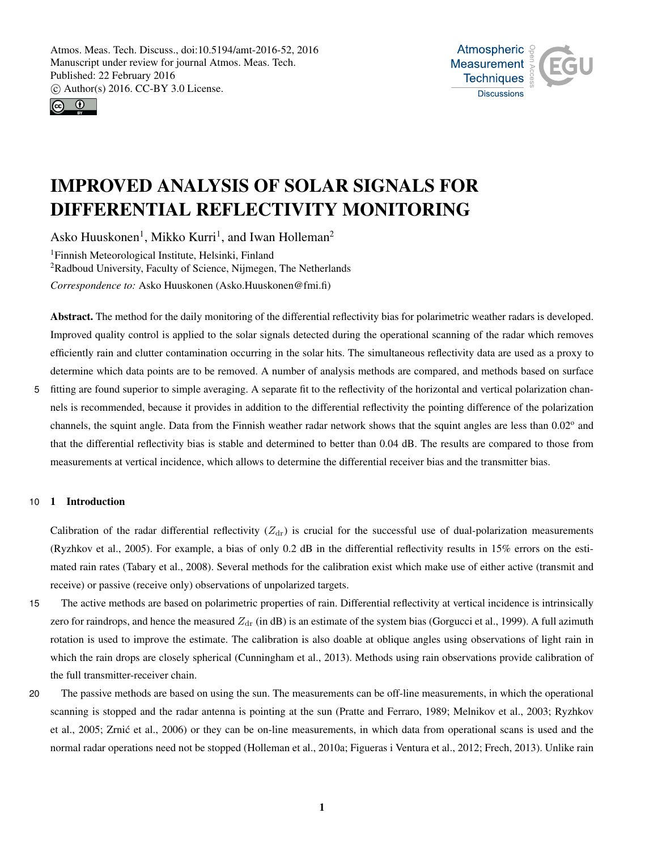



# IMPROVED ANALYSIS OF SOLAR SIGNALS FOR DIFFERENTIAL REFLECTIVITY MONITORING

Asko Huuskonen<sup>1</sup>, Mikko Kurri<sup>1</sup>, and Iwan Holleman<sup>2</sup> <sup>1</sup>Finnish Meteorological Institute, Helsinki, Finland <sup>2</sup>Radboud University, Faculty of Science, Nijmegen, The Netherlands *Correspondence to:* Asko Huuskonen (Asko.Huuskonen@fmi.fi)

Abstract. The method for the daily monitoring of the differential reflectivity bias for polarimetric weather radars is developed. Improved quality control is applied to the solar signals detected during the operational scanning of the radar which removes efficiently rain and clutter contamination occurring in the solar hits. The simultaneous reflectivity data are used as a proxy to determine which data points are to be removed. A number of analysis methods are compared, and methods based on surface

5 fitting are found superior to simple averaging. A separate fit to the reflectivity of the horizontal and vertical polarization channels is recommended, because it provides in addition to the differential reflectivity the pointing difference of the polarization channels, the squint angle. Data from the Finnish weather radar network shows that the squint angles are less than 0.02° and that the differential reflectivity bias is stable and determined to better than 0.04 dB. The results are compared to those from measurements at vertical incidence, which allows to determine the differential receiver bias and the transmitter bias.

# 10 1 Introduction

Calibration of the radar differential reflectivity  $(Z<sub>dr</sub>)$  is crucial for the successful use of dual-polarization measurements (Ryzhkov et al., 2005). For example, a bias of only 0.2 dB in the differential reflectivity results in 15% errors on the estimated rain rates (Tabary et al., 2008). Several methods for the calibration exist which make use of either active (transmit and receive) or passive (receive only) observations of unpolarized targets.

- 15 The active methods are based on polarimetric properties of rain. Differential reflectivity at vertical incidence is intrinsically zero for raindrops, and hence the measured  $Z_{dr}$  (in dB) is an estimate of the system bias (Gorgucci et al., 1999). A full azimuth rotation is used to improve the estimate. The calibration is also doable at oblique angles using observations of light rain in which the rain drops are closely spherical (Cunningham et al., 2013). Methods using rain observations provide calibration of the full transmitter-receiver chain.
- 20 The passive methods are based on using the sun. The measurements can be off-line measurements, in which the operational scanning is stopped and the radar antenna is pointing at the sun (Pratte and Ferraro, 1989; Melnikov et al., 2003; Ryzhkov et al., 2005; Zrnic et al., 2006) or they can be on-line measurements, in which data from operational scans is used and the ´ normal radar operations need not be stopped (Holleman et al., 2010a; Figueras i Ventura et al., 2012; Frech, 2013). Unlike rain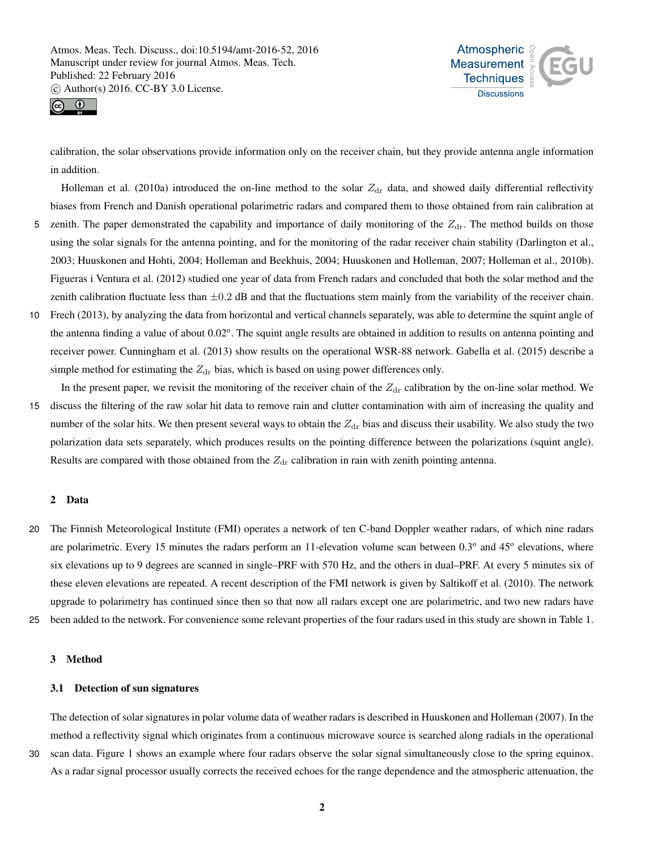



calibration, the solar observations provide information only on the receiver chain, but they provide antenna angle information in addition.

Holleman et al. (2010a) introduced the on-line method to the solar  $Z_{dr}$  data, and showed daily differential reflectivity biases from French and Danish operational polarimetric radars and compared them to those obtained from rain calibration at 5 zenith. The paper demonstrated the capability and importance of daily monitoring of the  $Z_{dr}$ . The method builds on those using the solar signals for the antenna pointing, and for the monitoring of the radar receiver chain stability (Darlington et al., 2003; Huuskonen and Hohti, 2004; Holleman and Beekhuis, 2004; Huuskonen and Holleman, 2007; Holleman et al., 2010b). Figueras i Ventura et al. (2012) studied one year of data from French radars and concluded that both the solar method and the zenith calibration fluctuate less than  $\pm 0.2$  dB and that the fluctuations stem mainly from the variability of the receiver chain.

- 10 Frech (2013), by analyzing the data from horizontal and vertical channels separately, was able to determine the squint angle of the antenna finding a value of about 0.02°. The squint angle results are obtained in addition to results on antenna pointing and receiver power. Cunningham et al. (2013) show results on the operational WSR-88 network. Gabella et al. (2015) describe a simple method for estimating the  $Z_{dr}$  bias, which is based on using power differences only.
- In the present paper, we revisit the monitoring of the receiver chain of the  $Z_{dr}$  calibration by the on-line solar method. We 15 discuss the filtering of the raw solar hit data to remove rain and clutter contamination with aim of increasing the quality and number of the solar hits. We then present several ways to obtain the  $Z_{dr}$  bias and discuss their usability. We also study the two polarization data sets separately, which produces results on the pointing difference between the polarizations (squint angle). Results are compared with those obtained from the  $Z_{dr}$  calibration in rain with zenith pointing antenna.

#### 2 Data

- 20 The Finnish Meteorological Institute (FMI) operates a network of ten C-band Doppler weather radars, of which nine radars are polarimetric. Every 15 minutes the radars perform an 11-elevation volume scan between 0.3° and 45° elevations, where six elevations up to 9 degrees are scanned in single–PRF with 570 Hz, and the others in dual–PRF. At every 5 minutes six of these eleven elevations are repeated. A recent description of the FMI network is given by Saltikoff et al. (2010). The network upgrade to polarimetry has continued since then so that now all radars except one are polarimetric, and two new radars have
- 25 been added to the network. For convenience some relevant properties of the four radars used in this study are shown in Table 1.

#### 3 Method

## 3.1 Detection of sun signatures

The detection of solar signatures in polar volume data of weather radars is described in Huuskonen and Holleman (2007). In the method a reflectivity signal which originates from a continuous microwave source is searched along radials in the operational

30 scan data. Figure 1 shows an example where four radars observe the solar signal simultaneously close to the spring equinox.

As a radar signal processor usually corrects the received echoes for the range dependence and the atmospheric attenuation, the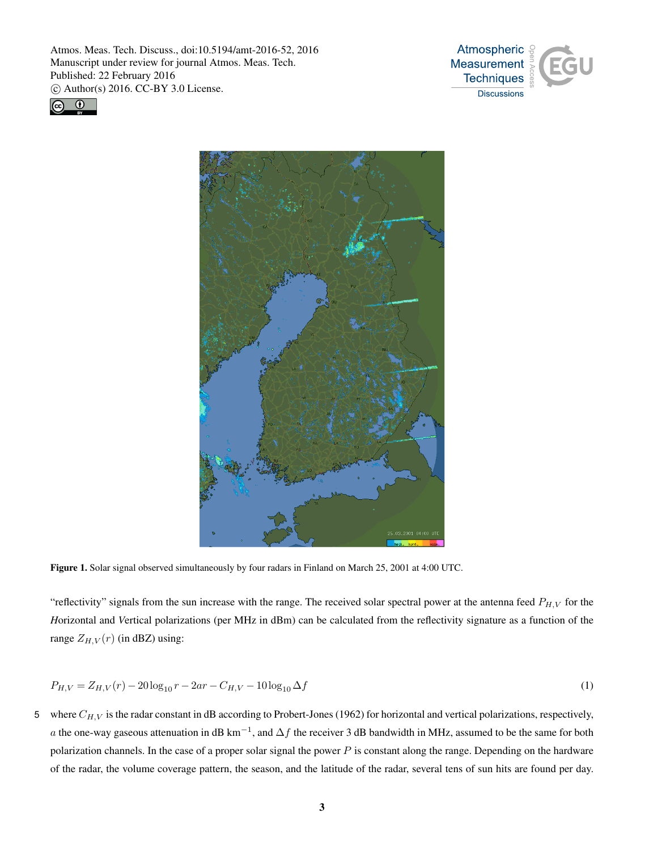





Figure 1. Solar signal observed simultaneously by four radars in Finland on March 25, 2001 at 4:00 UTC.

"reflectivity" signals from the sun increase with the range. The received solar spectral power at the antenna feed  $P_{H,V}$  for the *H*orizontal and *V*ertical polarizations (per MHz in dBm) can be calculated from the reflectivity signature as a function of the range  $Z_{H,V}(r)$  (in dBZ) using:

$$
P_{H,V} = Z_{H,V}(r) - 20\log_{10}r - 2ar - C_{H,V} - 10\log_{10}\Delta f\tag{1}
$$

5 where  $C_{H,V}$  is the radar constant in dB according to Probert-Jones (1962) for horizontal and vertical polarizations, respectively, a the one-way gaseous attenuation in dB km<sup>-1</sup>, and  $\Delta f$  the receiver 3 dB bandwidth in MHz, assumed to be the same for both polarization channels. In the case of a proper solar signal the power  $P$  is constant along the range. Depending on the hardware of the radar, the volume coverage pattern, the season, and the latitude of the radar, several tens of sun hits are found per day.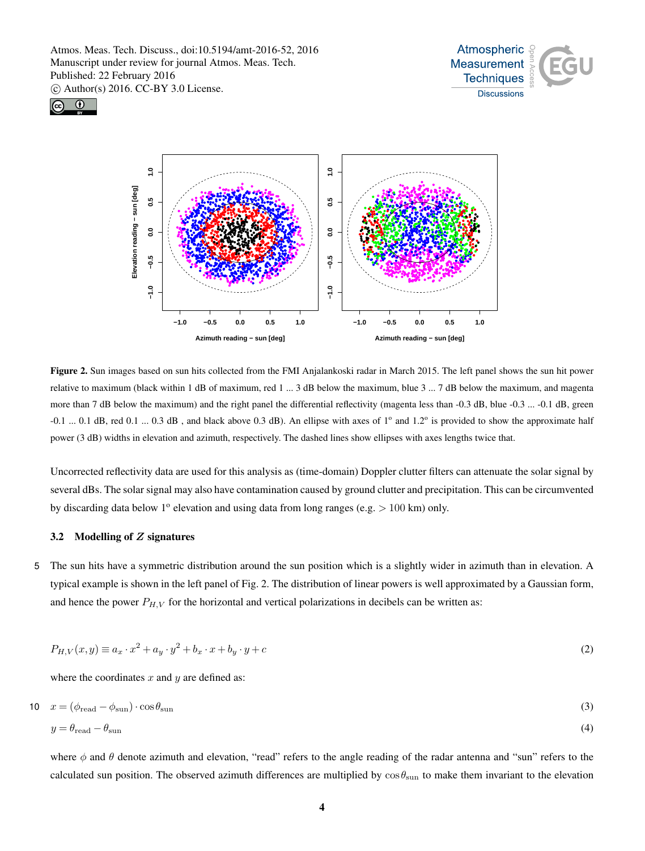





Figure 2. Sun images based on sun hits collected from the FMI Anjalankoski radar in March 2015. The left panel shows the sun hit power relative to maximum (black within 1 dB of maximum, red 1 ... 3 dB below the maximum, blue 3 ... 7 dB below the maximum, and magenta more than 7 dB below the maximum) and the right panel the differential reflectivity (magenta less than -0.3 dB, blue -0.3 ... -0.1 dB, green  $-0.1$  ... 0.1 dB, red 0.1 ... 0.3 dB, and black above 0.3 dB). An ellipse with axes of  $1^{\circ}$  and  $1.2^{\circ}$  is provided to show the approximate half power (3 dB) widths in elevation and azimuth, respectively. The dashed lines show ellipses with axes lengths twice that.

Uncorrected reflectivity data are used for this analysis as (time-domain) Doppler clutter filters can attenuate the solar signal by several dBs. The solar signal may also have contamination caused by ground clutter and precipitation. This can be circumvented by discarding data below  $1^{\circ}$  elevation and using data from long ranges (e.g.  $> 100$  km) only.

## 3.2 Modelling of Z signatures

5 The sun hits have a symmetric distribution around the sun position which is a slightly wider in azimuth than in elevation. A typical example is shown in the left panel of Fig. 2. The distribution of linear powers is well approximated by a Gaussian form, and hence the power  $P_{H,V}$  for the horizontal and vertical polarizations in decibels can be written as:

$$
P_{H,V}(x,y) \equiv a_x \cdot x^2 + a_y \cdot y^2 + b_x \cdot x + b_y \cdot y + c \tag{2}
$$

where the coordinates  $x$  and  $y$  are defined as:

$$
10 \quad x = (\phi_{\text{read}} - \phi_{\text{sun}}) \cdot \cos \theta_{\text{sun}} \tag{3}
$$

$$
y = \theta_{\text{read}} - \theta_{\text{sun}} \tag{4}
$$

where  $\phi$  and  $\theta$  denote azimuth and elevation, "read" refers to the angle reading of the radar antenna and "sun" refers to the calculated sun position. The observed azimuth differences are multiplied by  $\cos\theta_{\rm sun}$  to make them invariant to the elevation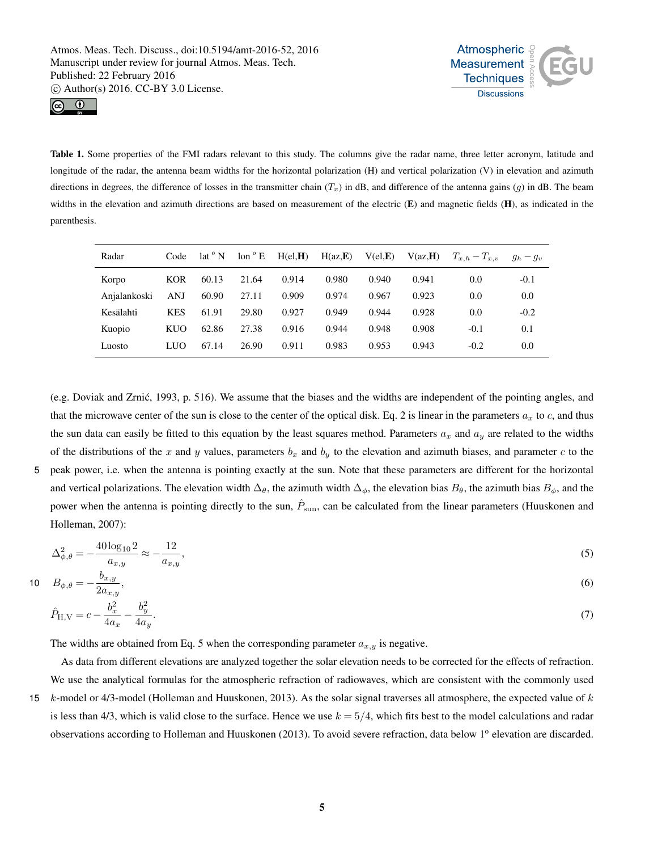



Table 1. Some properties of the FMI radars relevant to this study. The columns give the radar name, three letter acronym, latitude and longitude of the radar, the antenna beam widths for the horizontal polarization (H) and vertical polarization (V) in elevation and azimuth directions in degrees, the difference of losses in the transmitter chain  $(T_x)$  in dB, and difference of the antenna gains (g) in dB. The beam widths in the elevation and azimuth directions are based on measurement of the electric  $(E)$  and magnetic fields  $(H)$ , as indicated in the parenthesis.

| Radar        | Code       | lat <sup>o</sup> N | $\text{lon} \circ E$ | H(el, H) | H(az,E) | $V$ (el, $E$ ) | V(az,H) | $T_{x,h}-T_{x,v}$ | $g_h - g_v$ |
|--------------|------------|--------------------|----------------------|----------|---------|----------------|---------|-------------------|-------------|
| Korpo        | <b>KOR</b> | 60.13              | 21.64                | 0.914    | 0.980   | 0.940          | 0.941   | 0.0               | $-0.1$      |
| Anjalankoski | <b>ANJ</b> | 60.90              | 27.11                | 0.909    | 0.974   | 0.967          | 0.923   | 0.0               | 0.0         |
| Kesälahti    | <b>KES</b> | 61.91              | 29.80                | 0.927    | 0.949   | 0.944          | 0.928   | 0.0               | $-0.2$      |
| Kuopio       | KUO        | 62.86              | 27.38                | 0.916    | 0.944   | 0.948          | 0.908   | $-0.1$            | 0.1         |
| Luosto       | <b>LUO</b> | 67.14              | 26.90                | 0.911    | 0.983   | 0.953          | 0.943   | $-0.2$            | 0.0         |

(e.g. Doviak and Zrnic, 1993, p. 516). We assume that the biases and the widths are independent of the pointing angles, and ´ that the microwave center of the sun is close to the center of the optical disk. Eq. 2 is linear in the parameters  $a_x$  to c, and thus the sun data can easily be fitted to this equation by the least squares method. Parameters  $a_x$  and  $a_y$  are related to the widths of the distributions of the x and y values, parameters  $b_x$  and  $b_y$  to the elevation and azimuth biases, and parameter c to the

5 peak power, i.e. when the antenna is pointing exactly at the sun. Note that these parameters are different for the horizontal and vertical polarizations. The elevation width  $\Delta_{\theta}$ , the azimuth width  $\Delta_{\phi}$ , the elevation bias  $B_{\theta}$ , the azimuth bias  $B_{\phi}$ , and the power when the antenna is pointing directly to the sun,  $\hat{P}_{sun}$ , can be calculated from the linear parameters (Huuskonen and Holleman, 2007):

$$
\Delta_{\phi,\theta}^2 = -\frac{40 \log_{10} 2}{a_{x,y}} \approx -\frac{12}{a_{x,y}},\tag{5}
$$

$$
10 \t B_{\phi,\theta} = -\frac{b_{x,y}}{2a_{x,y}},
$$
\t(6)

$$
\hat{P}_{\text{H,V}} = c - \frac{b_x^2}{4a_x} - \frac{b_y^2}{4a_y}.\tag{7}
$$

The widths are obtained from Eq. 5 when the corresponding parameter  $a_{x,y}$  is negative.

As data from different elevations are analyzed together the solar elevation needs to be corrected for the effects of refraction. We use the analytical formulas for the atmospheric refraction of radiowaves, which are consistent with the commonly used 15  $k$ -model or 4/3-model (Holleman and Huuskonen, 2013). As the solar signal traverses all atmosphere, the expected value of  $k$ is less than 4/3, which is valid close to the surface. Hence we use  $k = 5/4$ , which fits best to the model calculations and radar observations according to Holleman and Huuskonen (2013). To avoid severe refraction, data below 1<sup>o</sup> elevation are discarded.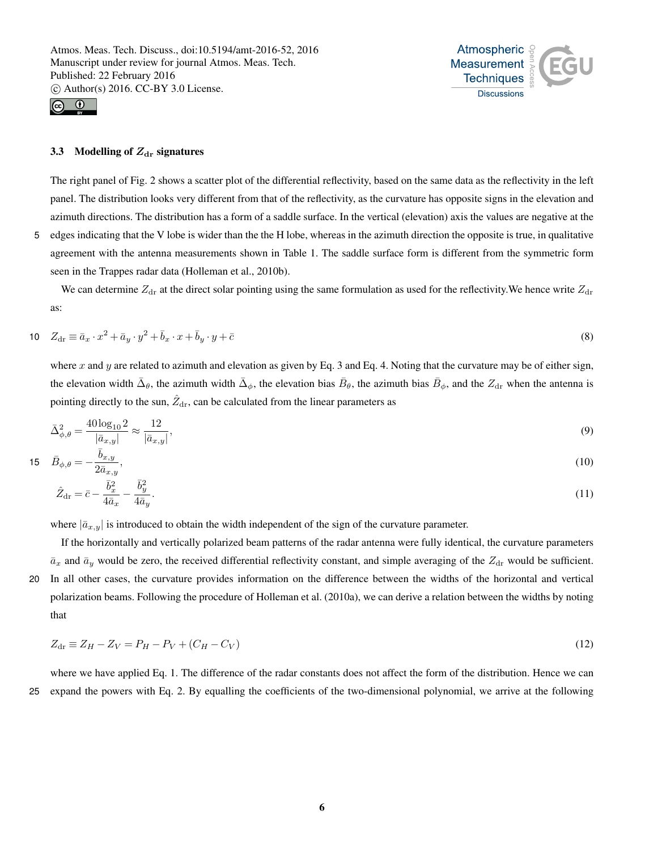



## 3.3 Modelling of  $Z_{dr}$  signatures

The right panel of Fig. 2 shows a scatter plot of the differential reflectivity, based on the same data as the reflectivity in the left panel. The distribution looks very different from that of the reflectivity, as the curvature has opposite signs in the elevation and azimuth directions. The distribution has a form of a saddle surface. In the vertical (elevation) axis the values are negative at the 5 edges indicating that the V lobe is wider than the the H lobe, whereas in the azimuth direction the opposite is true, in qualitative agreement with the antenna measurements shown in Table 1. The saddle surface form is different from the symmetric form seen in the Trappes radar data (Holleman et al., 2010b).

We can determine  $Z_{dr}$  at the direct solar pointing using the same formulation as used for the reflectivity. We hence write  $Z_{dr}$ as:

$$
10 \quad Z_{\text{dr}} \equiv \bar{a}_x \cdot x^2 + \bar{a}_y \cdot y^2 + \bar{b}_x \cdot x + \bar{b}_y \cdot y + \bar{c} \tag{8}
$$

where x and y are related to azimuth and elevation as given by Eq. 3 and Eq. 4. Noting that the curvature may be of either sign, the elevation width  $\bar{\Delta}_{\theta}$ , the azimuth width  $\bar{\Delta}_{\phi}$ , the elevation bias  $\bar{B}_{\theta}$ , the azimuth bias  $\bar{B}_{\phi}$ , and the  $Z_{dr}$  when the antenna is pointing directly to the sun,  $\hat{Z}_{dr}$ , can be calculated from the linear parameters as

$$
\bar{\Delta}^2_{\phi,\theta} = \frac{40 \log_{10} 2}{|\bar{a}_{x,y}|} \approx \frac{12}{|\bar{a}_{x,y}|},\tag{9}
$$

$$
15 \quad \bar{B}_{\phi,\theta} = -\frac{\bar{b}_{x,y}}{2\bar{a}_{x,y}},\tag{10}
$$

$$
\hat{Z}_{\text{dr}} = \bar{c} - \frac{\bar{b}_x^2}{4\bar{a}_x} - \frac{\bar{b}_y^2}{4\bar{a}_y}.\tag{11}
$$

where  $|\bar{a}_{x,y}|$  is introduced to obtain the width independent of the sign of the curvature parameter.

If the horizontally and vertically polarized beam patterns of the radar antenna were fully identical, the curvature parameters  $\bar{a}_x$  and  $\bar{a}_y$  would be zero, the received differential reflectivity constant, and simple averaging of the  $Z_{dr}$  would be sufficient. 20 In all other cases, the curvature provides information on the difference between the widths of the horizontal and vertical polarization beams. Following the procedure of Holleman et al. (2010a), we can derive a relation between the widths by noting that

$$
Z_{\rm dr} \equiv Z_H - Z_V = P_H - P_V + (C_H - C_V) \tag{12}
$$

where we have applied Eq. 1. The difference of the radar constants does not affect the form of the distribution. Hence we can 25 expand the powers with Eq. 2. By equalling the coefficients of the two-dimensional polynomial, we arrive at the following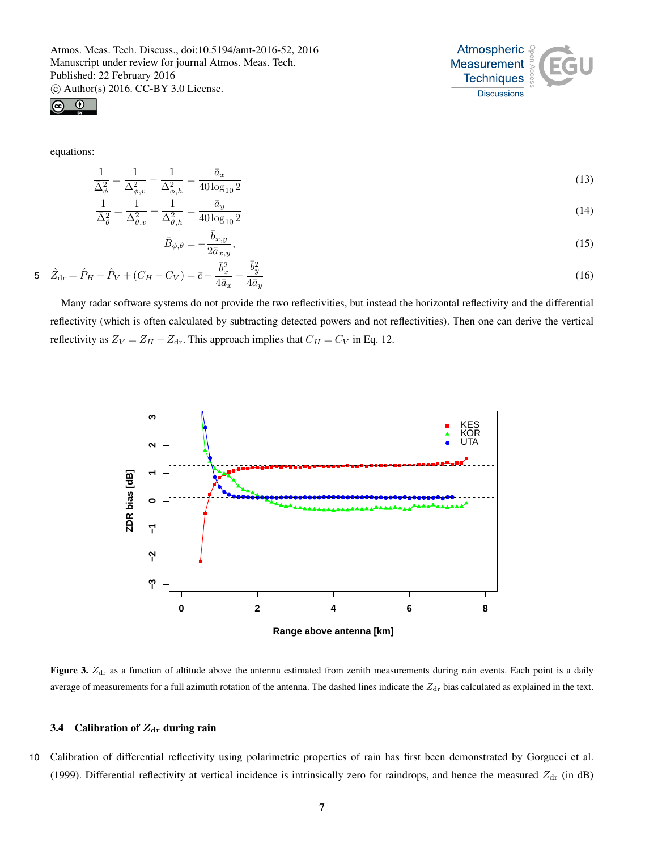



equations:

1  $\overline{\bar{\Delta}^2_\theta}$ 

$$
\frac{1}{\bar{\Delta}_{\phi}^2} = \frac{1}{\Delta_{\phi,v}^2} - \frac{1}{\Delta_{\phi,h}^2} = \frac{\bar{a}_x}{40 \log_{10} 2} \tag{13}
$$

$$
=\frac{1}{\Delta_{\theta,v}^2} - \frac{1}{\Delta_{\theta,h}^2} = \frac{\bar{a}_y}{40 \log_{10} 2} \tag{14}
$$

$$
\bar{B}_{\phi,\theta} = -\frac{\bar{b}_{x,y}}{2\bar{a}_{x,y}},\tag{15}
$$

 $\hat{Z}_{dr} = \hat{P}_H - \hat{P}_V + (C_H - C_V) = \bar{c} \bar{b}_x^2$  $\frac{1}{4\bar{a}_x}$  –  $\bar{b}_y^2$ 5  $Z_{\text{dr}} = P_H - P_V + (C_H - C_V) = \bar{c} - \frac{y}{4\bar{a}_x} - \frac{y}{4\bar{a}_y}$  (16)

Many radar software systems do not provide the two reflectivities, but instead the horizontal reflectivity and the differential reflectivity (which is often calculated by subtracting detected powers and not reflectivities). Then one can derive the vertical reflectivity as  $Z_V = Z_H - Z_{dr}$ . This approach implies that  $C_H = C_V$  in Eq. 12.



**Figure 3.**  $Z<sub>dr</sub>$  as a function of altitude above the antenna estimated from zenith measurements during rain events. Each point is a daily average of measurements for a full azimuth rotation of the antenna. The dashed lines indicate the  $Z_{dr}$  bias calculated as explained in the text.

# 3.4 Calibration of  $Z_{dr}$  during rain

10 Calibration of differential reflectivity using polarimetric properties of rain has first been demonstrated by Gorgucci et al. (1999). Differential reflectivity at vertical incidence is intrinsically zero for raindrops, and hence the measured  $Z_{dr}$  (in dB)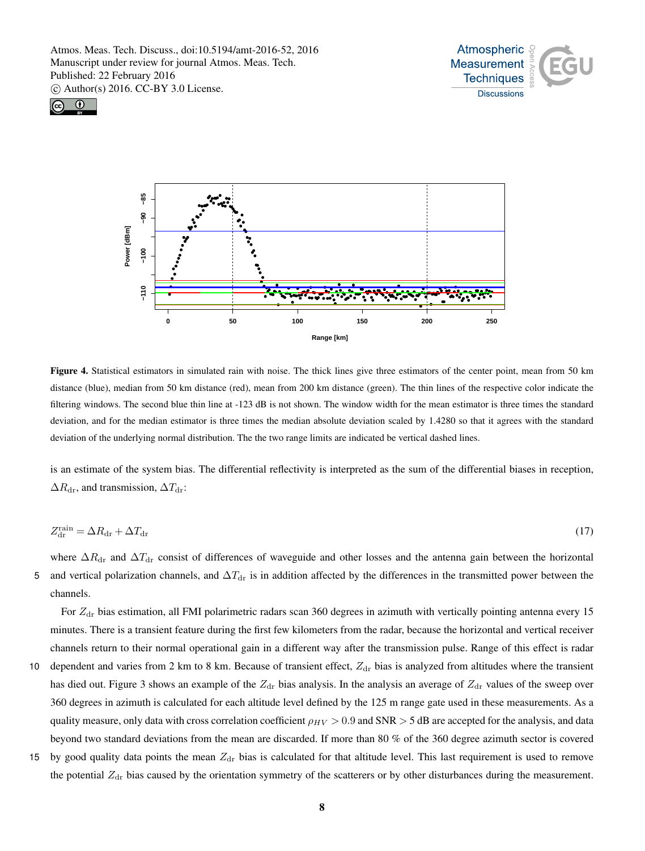





Figure 4. Statistical estimators in simulated rain with noise. The thick lines give three estimators of the center point, mean from 50 km distance (blue), median from 50 km distance (red), mean from 200 km distance (green). The thin lines of the respective color indicate the filtering windows. The second blue thin line at -123 dB is not shown. The window width for the mean estimator is three times the standard deviation, and for the median estimator is three times the median absolute deviation scaled by 1.4280 so that it agrees with the standard deviation of the underlying normal distribution. The the two range limits are indicated be vertical dashed lines.

is an estimate of the system bias. The differential reflectivity is interpreted as the sum of the differential biases in reception,  $\Delta R_{\text{dr}}$ , and transmission,  $\Delta T_{\text{dr}}$ :

$$
Z_{\rm dr}^{\rm rain} = \Delta R_{\rm dr} + \Delta T_{\rm dr} \tag{17}
$$

where  $\Delta R_{dr}$  and  $\Delta T_{dr}$  consist of differences of waveguide and other losses and the antenna gain between the horizontal 5 and vertical polarization channels, and  $\Delta T_{dr}$  is in addition affected by the differences in the transmitted power between the channels.

For  $Z<sub>dr</sub>$  bias estimation, all FMI polarimetric radars scan 360 degrees in azimuth with vertically pointing antenna every 15 minutes. There is a transient feature during the first few kilometers from the radar, because the horizontal and vertical receiver channels return to their normal operational gain in a different way after the transmission pulse. Range of this effect is radar

- 10 dependent and varies from 2 km to 8 km. Because of transient effect,  $Z_{dr}$  bias is analyzed from altitudes where the transient has died out. Figure 3 shows an example of the  $Z_{dr}$  bias analysis. In the analysis an average of  $Z_{dr}$  values of the sweep over 360 degrees in azimuth is calculated for each altitude level defined by the 125 m range gate used in these measurements. As a quality measure, only data with cross correlation coefficient  $\rho_{HV} > 0.9$  and SNR  $> 5$  dB are accepted for the analysis, and data beyond two standard deviations from the mean are discarded. If more than 80 % of the 360 degree azimuth sector is covered
- 15 by good quality data points the mean  $Z_{dr}$  bias is calculated for that altitude level. This last requirement is used to remove the potential  $Z<sub>dr</sub>$  bias caused by the orientation symmetry of the scatterers or by other disturbances during the measurement.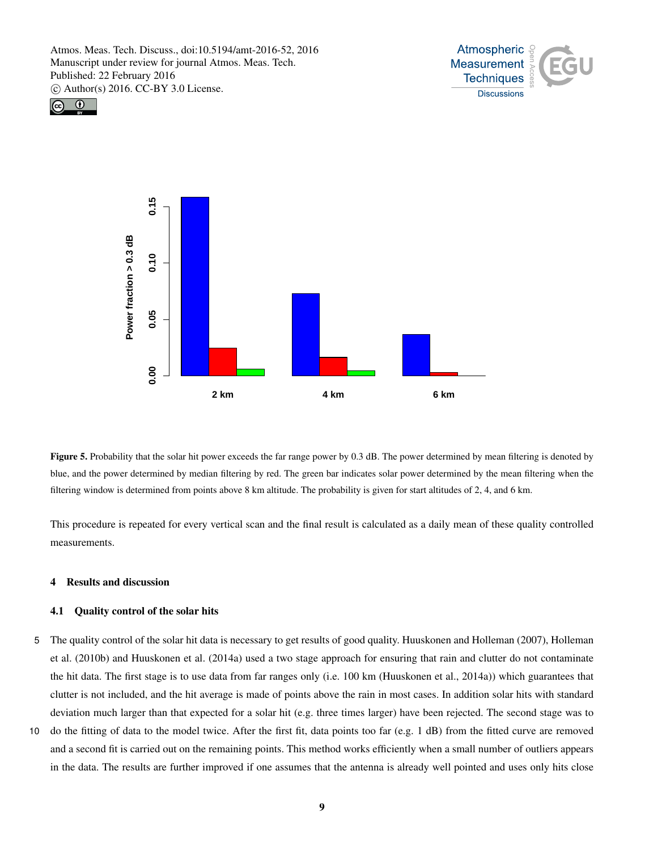





Figure 5. Probability that the solar hit power exceeds the far range power by 0.3 dB. The power determined by mean filtering is denoted by blue, and the power determined by median filtering by red. The green bar indicates solar power determined by the mean filtering when the filtering window is determined from points above 8 km altitude. The probability is given for start altitudes of 2, 4, and 6 km.

This procedure is repeated for every vertical scan and the final result is calculated as a daily mean of these quality controlled measurements.

## 4 Results and discussion

## 4.1 Quality control of the solar hits

- 5 The quality control of the solar hit data is necessary to get results of good quality. Huuskonen and Holleman (2007), Holleman et al. (2010b) and Huuskonen et al. (2014a) used a two stage approach for ensuring that rain and clutter do not contaminate the hit data. The first stage is to use data from far ranges only (i.e. 100 km (Huuskonen et al., 2014a)) which guarantees that clutter is not included, and the hit average is made of points above the rain in most cases. In addition solar hits with standard deviation much larger than that expected for a solar hit (e.g. three times larger) have been rejected. The second stage was to
- 10 do the fitting of data to the model twice. After the first fit, data points too far (e.g. 1 dB) from the fitted curve are removed and a second fit is carried out on the remaining points. This method works efficiently when a small number of outliers appears in the data. The results are further improved if one assumes that the antenna is already well pointed and uses only hits close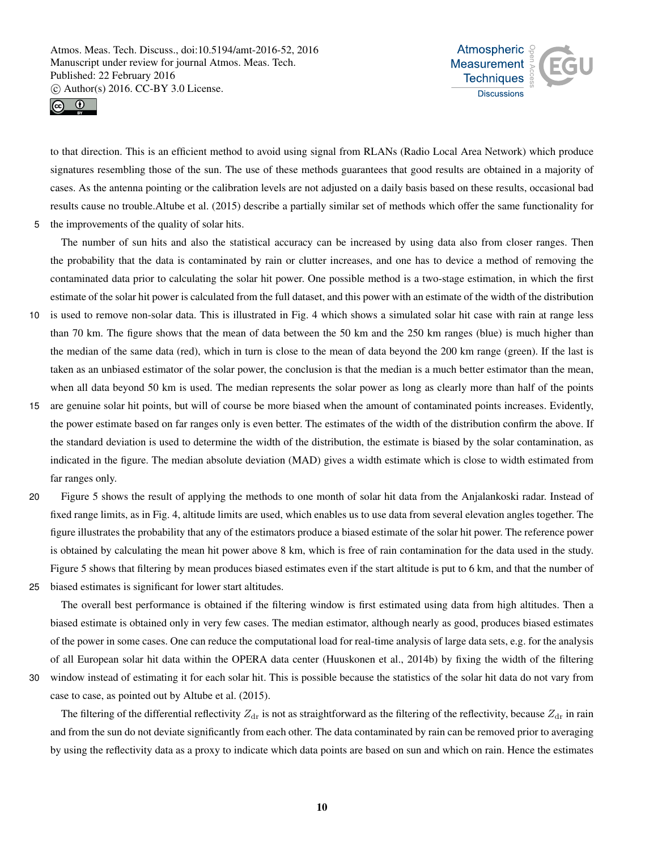



to that direction. This is an efficient method to avoid using signal from RLANs (Radio Local Area Network) which produce signatures resembling those of the sun. The use of these methods guarantees that good results are obtained in a majority of cases. As the antenna pointing or the calibration levels are not adjusted on a daily basis based on these results, occasional bad results cause no trouble.Altube et al. (2015) describe a partially similar set of methods which offer the same functionality for 5 the improvements of the quality of solar hits.

The number of sun hits and also the statistical accuracy can be increased by using data also from closer ranges. Then the probability that the data is contaminated by rain or clutter increases, and one has to device a method of removing the contaminated data prior to calculating the solar hit power. One possible method is a two-stage estimation, in which the first estimate of the solar hit power is calculated from the full dataset, and this power with an estimate of the width of the distribution

- 10 is used to remove non-solar data. This is illustrated in Fig. 4 which shows a simulated solar hit case with rain at range less than 70 km. The figure shows that the mean of data between the 50 km and the 250 km ranges (blue) is much higher than the median of the same data (red), which in turn is close to the mean of data beyond the 200 km range (green). If the last is taken as an unbiased estimator of the solar power, the conclusion is that the median is a much better estimator than the mean, when all data beyond 50 km is used. The median represents the solar power as long as clearly more than half of the points
- 15 are genuine solar hit points, but will of course be more biased when the amount of contaminated points increases. Evidently, the power estimate based on far ranges only is even better. The estimates of the width of the distribution confirm the above. If the standard deviation is used to determine the width of the distribution, the estimate is biased by the solar contamination, as indicated in the figure. The median absolute deviation (MAD) gives a width estimate which is close to width estimated from far ranges only.
- 20 Figure 5 shows the result of applying the methods to one month of solar hit data from the Anjalankoski radar. Instead of fixed range limits, as in Fig. 4, altitude limits are used, which enables us to use data from several elevation angles together. The figure illustrates the probability that any of the estimators produce a biased estimate of the solar hit power. The reference power is obtained by calculating the mean hit power above 8 km, which is free of rain contamination for the data used in the study. Figure 5 shows that filtering by mean produces biased estimates even if the start altitude is put to 6 km, and that the number of 25 biased estimates is significant for lower start altitudes.
	- The overall best performance is obtained if the filtering window is first estimated using data from high altitudes. Then a biased estimate is obtained only in very few cases. The median estimator, although nearly as good, produces biased estimates of the power in some cases. One can reduce the computational load for real-time analysis of large data sets, e.g. for the analysis of all European solar hit data within the OPERA data center (Huuskonen et al., 2014b) by fixing the width of the filtering

30 window instead of estimating it for each solar hit. This is possible because the statistics of the solar hit data do not vary from

case to case, as pointed out by Altube et al. (2015).

The filtering of the differential reflectivity  $Z_{dr}$  is not as straightforward as the filtering of the reflectivity, because  $Z_{dr}$  in rain and from the sun do not deviate significantly from each other. The data contaminated by rain can be removed prior to averaging by using the reflectivity data as a proxy to indicate which data points are based on sun and which on rain. Hence the estimates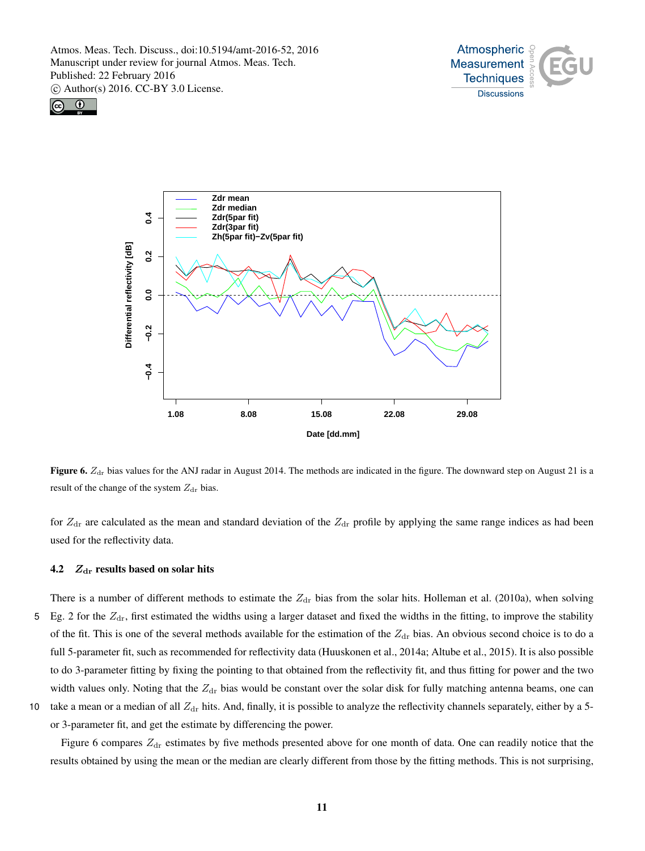





Figure 6.  $Z<sub>dr</sub>$  bias values for the ANJ radar in August 2014. The methods are indicated in the figure. The downward step on August 21 is a result of the change of the system  $Z_{dr}$  bias.

for  $Z_{dr}$  are calculated as the mean and standard deviation of the  $Z_{dr}$  profile by applying the same range indices as had been used for the reflectivity data.

# 4.2  $Z_{dr}$  results based on solar hits

- There is a number of different methods to estimate the  $Z_{dr}$  bias from the solar hits. Holleman et al. (2010a), when solving 5 Eg. 2 for the  $Z<sub>dr</sub>$ , first estimated the widths using a larger dataset and fixed the widths in the fitting, to improve the stability of the fit. This is one of the several methods available for the estimation of the  $Z_{dr}$  bias. An obvious second choice is to do a full 5-parameter fit, such as recommended for reflectivity data (Huuskonen et al., 2014a; Altube et al., 2015). It is also possible to do 3-parameter fitting by fixing the pointing to that obtained from the reflectivity fit, and thus fitting for power and the two width values only. Noting that the  $Z_{dr}$  bias would be constant over the solar disk for fully matching antenna beams, one can
- 10 take a mean or a median of all  $Z_{dr}$  hits. And, finally, it is possible to analyze the reflectivity channels separately, either by a 5-

or 3-parameter fit, and get the estimate by differencing the power.

Figure 6 compares  $Z<sub>dr</sub>$  estimates by five methods presented above for one month of data. One can readily notice that the results obtained by using the mean or the median are clearly different from those by the fitting methods. This is not surprising,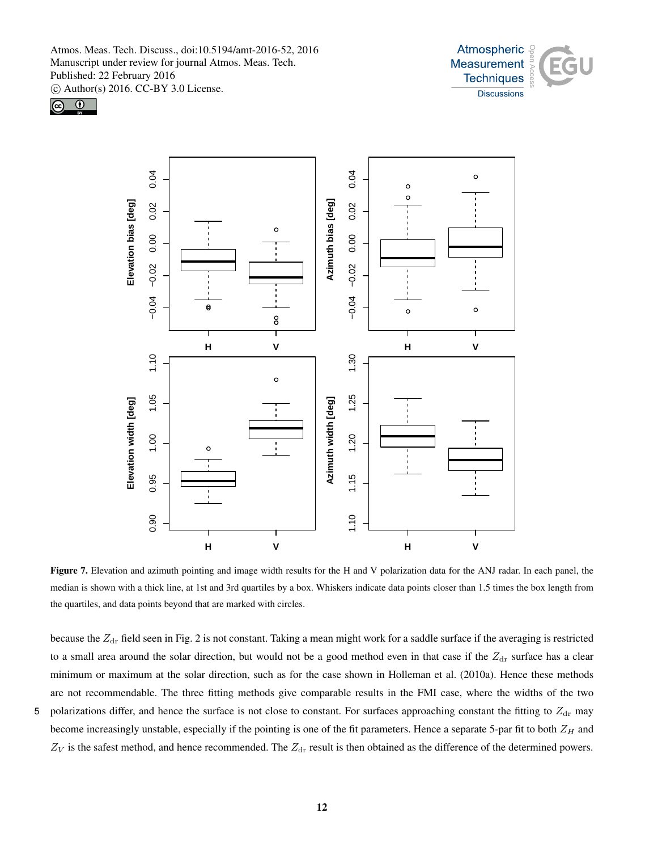





Figure 7. Elevation and azimuth pointing and image width results for the H and V polarization data for the ANJ radar. In each panel, the median is shown with a thick line, at 1st and 3rd quartiles by a box. Whiskers indicate data points closer than 1.5 times the box length from the quartiles, and data points beyond that are marked with circles.

because the  $Z_{dr}$  field seen in Fig. 2 is not constant. Taking a mean might work for a saddle surface if the averaging is restricted to a small area around the solar direction, but would not be a good method even in that case if the  $Z_{dr}$  surface has a clear minimum or maximum at the solar direction, such as for the case shown in Holleman et al. (2010a). Hence these methods are not recommendable. The three fitting methods give comparable results in the FMI case, where the widths of the two

5 polarizations differ, and hence the surface is not close to constant. For surfaces approaching constant the fitting to  $Z_{dr}$  may become increasingly unstable, especially if the pointing is one of the fit parameters. Hence a separate 5-par fit to both  $Z_H$  and  $Z_V$  is the safest method, and hence recommended. The  $Z_{dr}$  result is then obtained as the difference of the determined powers.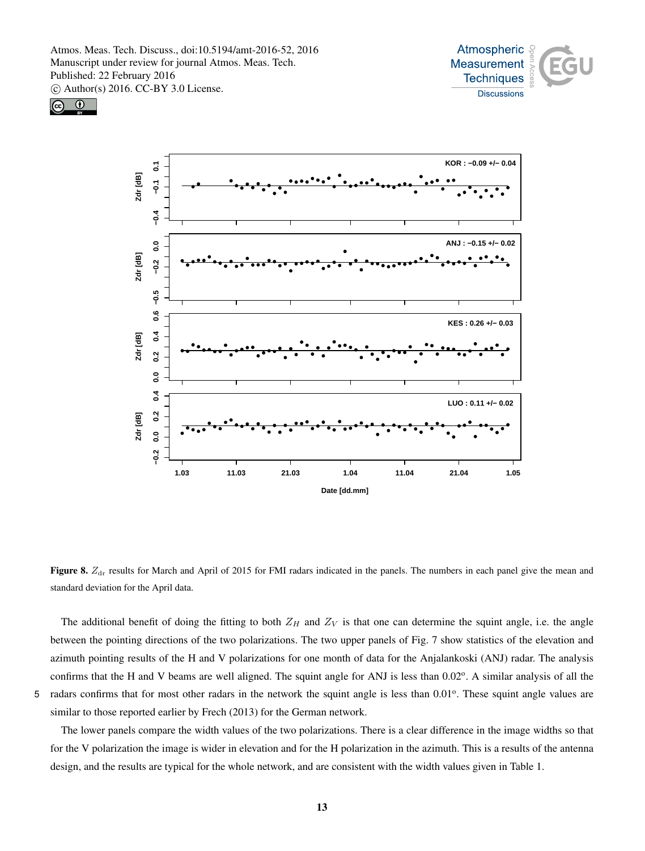





Figure 8.  $Z<sub>dr</sub>$  results for March and April of 2015 for FMI radars indicated in the panels. The numbers in each panel give the mean and standard deviation for the April data.

The additional benefit of doing the fitting to both  $Z_H$  and  $Z_V$  is that one can determine the squint angle, i.e. the angle between the pointing directions of the two polarizations. The two upper panels of Fig. 7 show statistics of the elevation and azimuth pointing results of the H and V polarizations for one month of data for the Anjalankoski (ANJ) radar. The analysis confirms that the H and V beams are well aligned. The squint angle for ANJ is less than 0.02°. A similar analysis of all the 5 radars confirms that for most other radars in the network the squint angle is less than 0.01°. These squint angle values are similar to those reported earlier by Frech (2013) for the German network.

The lower panels compare the width values of the two polarizations. There is a clear difference in the image widths so that for the V polarization the image is wider in elevation and for the H polarization in the azimuth. This is a results of the antenna design, and the results are typical for the whole network, and are consistent with the width values given in Table 1.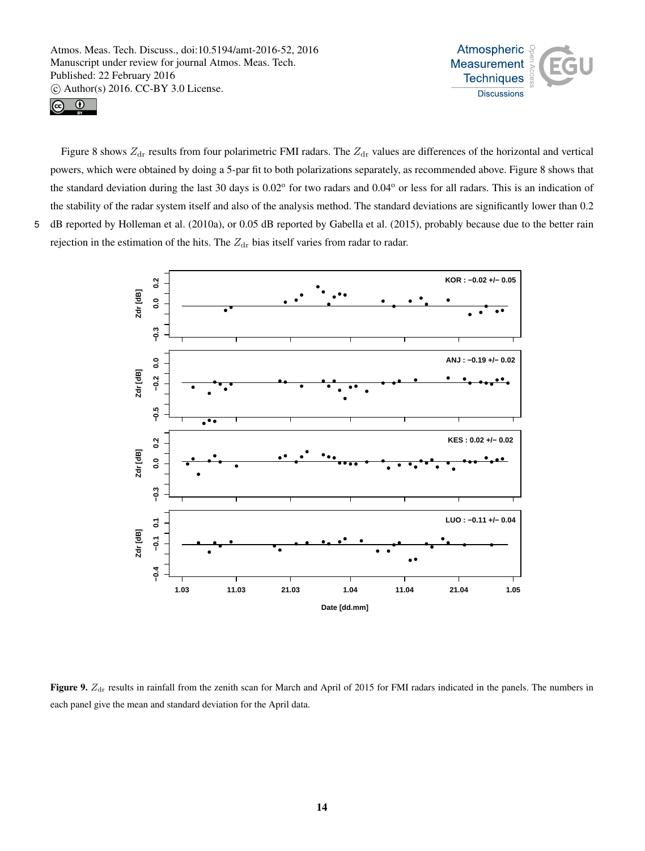



Figure 8 shows  $Z_{dr}$  results from four polarimetric FMI radars. The  $Z_{dr}$  values are differences of the horizontal and vertical powers, which were obtained by doing a 5-par fit to both polarizations separately, as recommended above. Figure 8 shows that the standard deviation during the last 30 days is 0.02° for two radars and 0.04° or less for all radars. This is an indication of the stability of the radar system itself and also of the analysis method. The standard deviations are significantly lower than 0.2 5 dB reported by Holleman et al. (2010a), or 0.05 dB reported by Gabella et al. (2015), probably because due to the better rain rejection in the estimation of the hits. The  $Z_{dr}$  bias itself varies from radar to radar.



Figure 9.  $Z_{dr}$  results in rainfall from the zenith scan for March and April of 2015 for FMI radars indicated in the panels. The numbers in each panel give the mean and standard deviation for the April data.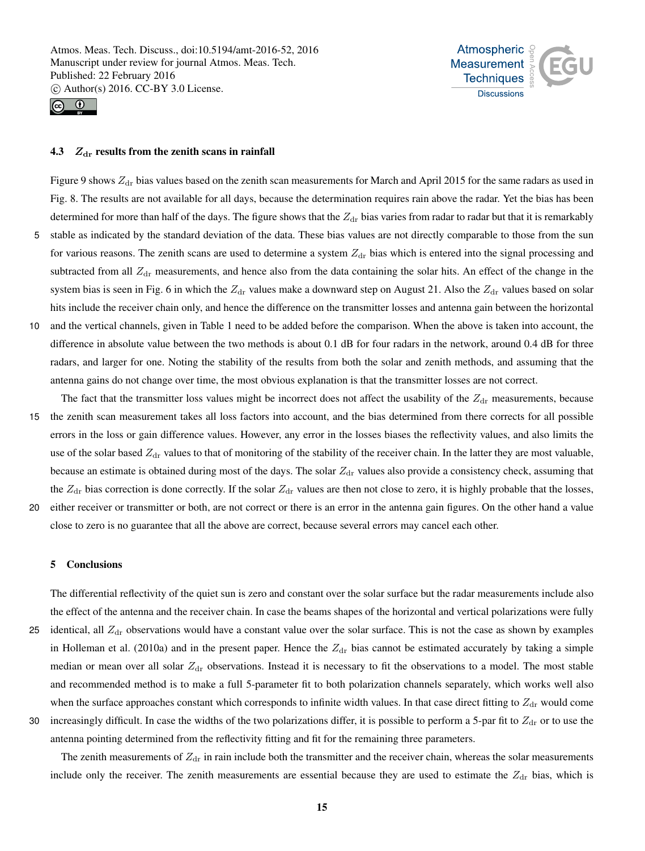



## 4.3  $Z_{dr}$  results from the zenith scans in rainfall

Figure 9 shows  $Z_{dr}$  bias values based on the zenith scan measurements for March and April 2015 for the same radars as used in Fig. 8. The results are not available for all days, because the determination requires rain above the radar. Yet the bias has been determined for more than half of the days. The figure shows that the  $Z_{dr}$  bias varies from radar to radar but that it is remarkably 5 stable as indicated by the standard deviation of the data. These bias values are not directly comparable to those from the sun for various reasons. The zenith scans are used to determine a system  $Z_{dr}$  bias which is entered into the signal processing and subtracted from all  $Z_{dr}$  measurements, and hence also from the data containing the solar hits. An effect of the change in the system bias is seen in Fig. 6 in which the  $Z_{dr}$  values make a downward step on August 21. Also the  $Z_{dr}$  values based on solar hits include the receiver chain only, and hence the difference on the transmitter losses and antenna gain between the horizontal 10 and the vertical channels, given in Table 1 need to be added before the comparison. When the above is taken into account, the difference in absolute value between the two methods is about 0.1 dB for four radars in the network, around 0.4 dB for three radars, and larger for one. Noting the stability of the results from both the solar and zenith methods, and assuming that the antenna gains do not change over time, the most obvious explanation is that the transmitter losses are not correct.

The fact that the transmitter loss values might be incorrect does not affect the usability of the  $Z_{dr}$  measurements, because 15 the zenith scan measurement takes all loss factors into account, and the bias determined from there corrects for all possible errors in the loss or gain difference values. However, any error in the losses biases the reflectivity values, and also limits the use of the solar based  $Z_{dr}$  values to that of monitoring of the stability of the receiver chain. In the latter they are most valuable, because an estimate is obtained during most of the days. The solar  $Z_{dr}$  values also provide a consistency check, assuming that the  $Z_{dr}$  bias correction is done correctly. If the solar  $Z_{dr}$  values are then not close to zero, it is highly probable that the losses, 20 either receiver or transmitter or both, are not correct or there is an error in the antenna gain figures. On the other hand a value

close to zero is no guarantee that all the above are correct, because several errors may cancel each other.

#### 5 Conclusions

The differential reflectivity of the quiet sun is zero and constant over the solar surface but the radar measurements include also the effect of the antenna and the receiver chain. In case the beams shapes of the horizontal and vertical polarizations were fully 25 identical, all  $Z_{dr}$  observations would have a constant value over the solar surface. This is not the case as shown by examples in Holleman et al. (2010a) and in the present paper. Hence the  $Z_{dr}$  bias cannot be estimated accurately by taking a simple median or mean over all solar  $Z_{dr}$  observations. Instead it is necessary to fit the observations to a model. The most stable and recommended method is to make a full 5-parameter fit to both polarization channels separately, which works well also when the surface approaches constant which corresponds to infinite width values. In that case direct fitting to  $Z_{dr}$  would come

30 increasingly difficult. In case the widths of the two polarizations differ, it is possible to perform a 5-par fit to  $Z_{dr}$  or to use the antenna pointing determined from the reflectivity fitting and fit for the remaining three parameters.

The zenith measurements of  $Z_{dr}$  in rain include both the transmitter and the receiver chain, whereas the solar measurements include only the receiver. The zenith measurements are essential because they are used to estimate the  $Z_{dr}$  bias, which is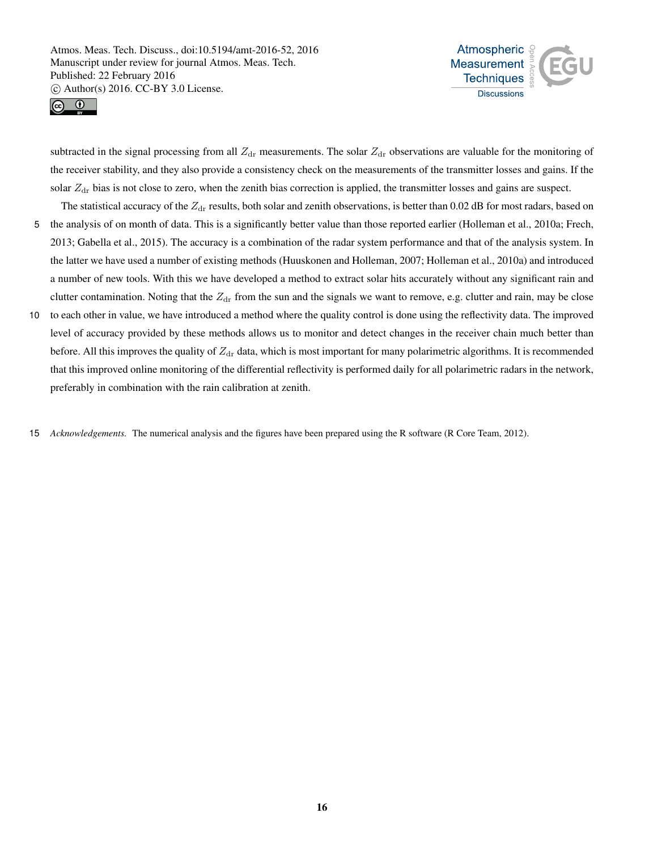



subtracted in the signal processing from all  $Z_{dr}$  measurements. The solar  $Z_{dr}$  observations are valuable for the monitoring of the receiver stability, and they also provide a consistency check on the measurements of the transmitter losses and gains. If the solar  $Z_{dr}$  bias is not close to zero, when the zenith bias correction is applied, the transmitter losses and gains are suspect.

The statistical accuracy of the  $Z_{dr}$  results, both solar and zenith observations, is better than 0.02 dB for most radars, based on 5 the analysis of on month of data. This is a significantly better value than those reported earlier (Holleman et al., 2010a; Frech,

- 2013; Gabella et al., 2015). The accuracy is a combination of the radar system performance and that of the analysis system. In the latter we have used a number of existing methods (Huuskonen and Holleman, 2007; Holleman et al., 2010a) and introduced a number of new tools. With this we have developed a method to extract solar hits accurately without any significant rain and clutter contamination. Noting that the  $Z_{dr}$  from the sun and the signals we want to remove, e.g. clutter and rain, may be close
- 10 to each other in value, we have introduced a method where the quality control is done using the reflectivity data. The improved level of accuracy provided by these methods allows us to monitor and detect changes in the receiver chain much better than before. All this improves the quality of  $Z_{dr}$  data, which is most important for many polarimetric algorithms. It is recommended that this improved online monitoring of the differential reflectivity is performed daily for all polarimetric radars in the network, preferably in combination with the rain calibration at zenith.
- 15 *Acknowledgements.* The numerical analysis and the figures have been prepared using the R software (R Core Team, 2012).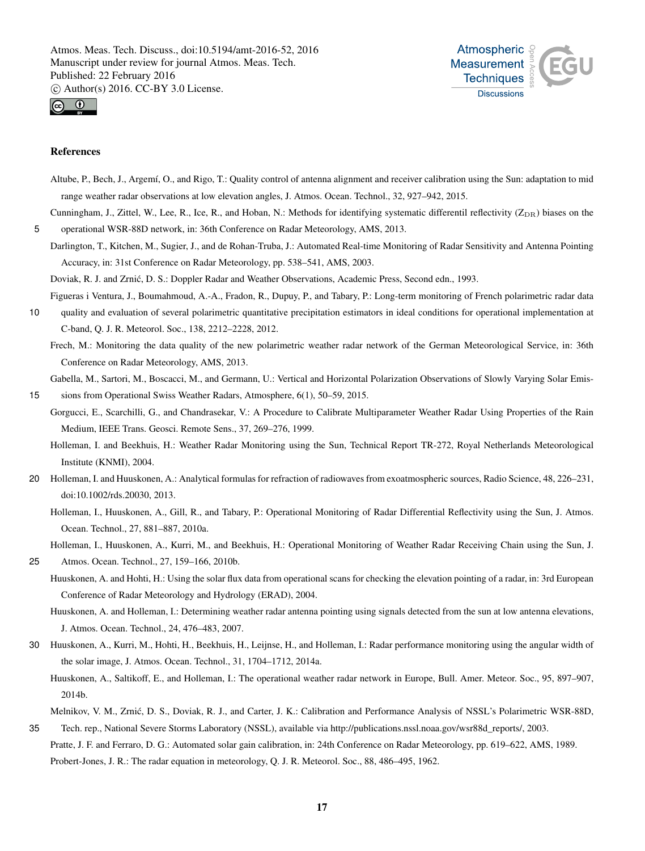



#### References

- Altube, P., Bech, J., Argemí, O., and Rigo, T.: Quality control of antenna alignment and receiver calibration using the Sun: adaptation to mid range weather radar observations at low elevation angles, J. Atmos. Ocean. Technol., 32, 927–942, 2015.
- Cunningham, J., Zittel, W., Lee, R., Ice, R., and Hoban, N.: Methods for identifying systematic differentil reflectivity  $(Z_{DR})$  biases on the 5 operational WSR-88D network, in: 36th Conference on Radar Meteorology, AMS, 2013.
	- Darlington, T., Kitchen, M., Sugier, J., and de Rohan-Truba, J.: Automated Real-time Monitoring of Radar Sensitivity and Antenna Pointing Accuracy, in: 31st Conference on Radar Meteorology, pp. 538–541, AMS, 2003.

Doviak, R. J. and Zrnic, D. S.: Doppler Radar and Weather Observations, Academic Press, Second edn., 1993. ´

Figueras i Ventura, J., Boumahmoud, A.-A., Fradon, R., Dupuy, P., and Tabary, P.: Long-term monitoring of French polarimetric radar data

10 quality and evaluation of several polarimetric quantitative precipitation estimators in ideal conditions for operational implementation at C-band, Q. J. R. Meteorol. Soc., 138, 2212–2228, 2012.

Frech, M.: Monitoring the data quality of the new polarimetric weather radar network of the German Meteorological Service, in: 36th Conference on Radar Meteorology, AMS, 2013.

Gabella, M., Sartori, M., Boscacci, M., and Germann, U.: Vertical and Horizontal Polarization Observations of Slowly Varying Solar Emis-

15 sions from Operational Swiss Weather Radars, Atmosphere, 6(1), 50–59, 2015.

- Gorgucci, E., Scarchilli, G., and Chandrasekar, V.: A Procedure to Calibrate Multiparameter Weather Radar Using Properties of the Rain Medium, IEEE Trans. Geosci. Remote Sens., 37, 269–276, 1999.
	- Holleman, I. and Beekhuis, H.: Weather Radar Monitoring using the Sun, Technical Report TR-272, Royal Netherlands Meteorological Institute (KNMI), 2004.
- 20 Holleman, I. and Huuskonen, A.: Analytical formulas for refraction of radiowaves from exoatmospheric sources, Radio Science, 48, 226–231, doi:10.1002/rds.20030, 2013.
	- Holleman, I., Huuskonen, A., Gill, R., and Tabary, P.: Operational Monitoring of Radar Differential Reflectivity using the Sun, J. Atmos. Ocean. Technol., 27, 881–887, 2010a.

Holleman, I., Huuskonen, A., Kurri, M., and Beekhuis, H.: Operational Monitoring of Weather Radar Receiving Chain using the Sun, J.

- 25 Atmos. Ocean. Technol., 27, 159–166, 2010b.
	- Huuskonen, A. and Hohti, H.: Using the solar flux data from operational scans for checking the elevation pointing of a radar, in: 3rd European Conference of Radar Meteorology and Hydrology (ERAD), 2004.
	- Huuskonen, A. and Holleman, I.: Determining weather radar antenna pointing using signals detected from the sun at low antenna elevations, J. Atmos. Ocean. Technol., 24, 476–483, 2007.
- 30 Huuskonen, A., Kurri, M., Hohti, H., Beekhuis, H., Leijnse, H., and Holleman, I.: Radar performance monitoring using the angular width of the solar image, J. Atmos. Ocean. Technol., 31, 1704–1712, 2014a.
	- Huuskonen, A., Saltikoff, E., and Holleman, I.: The operational weather radar network in Europe, Bull. Amer. Meteor. Soc., 95, 897–907, 2014b.
- Melnikov, V. M., Zrnic, D. S., Doviak, R. J., and Carter, J. K.: Calibration and Performance Analysis of NSSL's Polarimetric WSR-88D, ´ 35 Tech. rep., National Severe Storms Laboratory (NSSL), available via http://publications.nssl.noaa.gov/wsr88d\_reports/, 2003.
- Pratte, J. F. and Ferraro, D. G.: Automated solar gain calibration, in: 24th Conference on Radar Meteorology, pp. 619–622, AMS, 1989. Probert-Jones, J. R.: The radar equation in meteorology, Q. J. R. Meteorol. Soc., 88, 486–495, 1962.